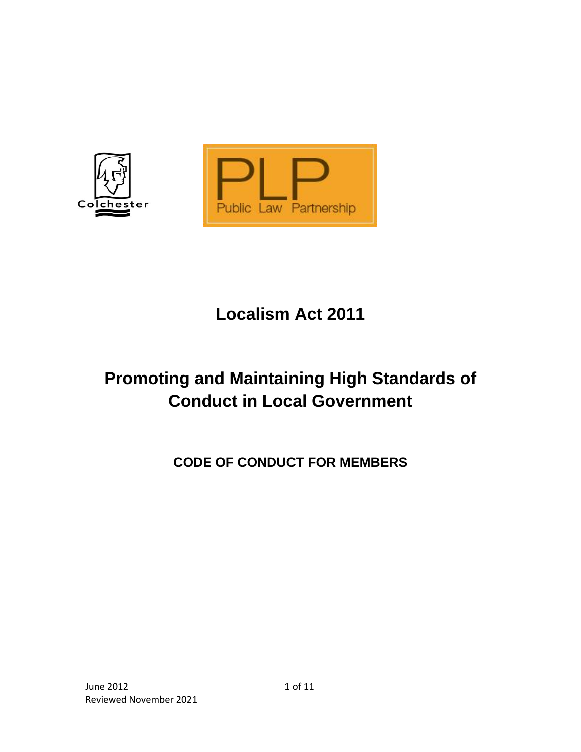

# **Localism Act 2011**

# **Promoting and Maintaining High Standards of Conduct in Local Government**

**CODE OF CONDUCT FOR MEMBERS**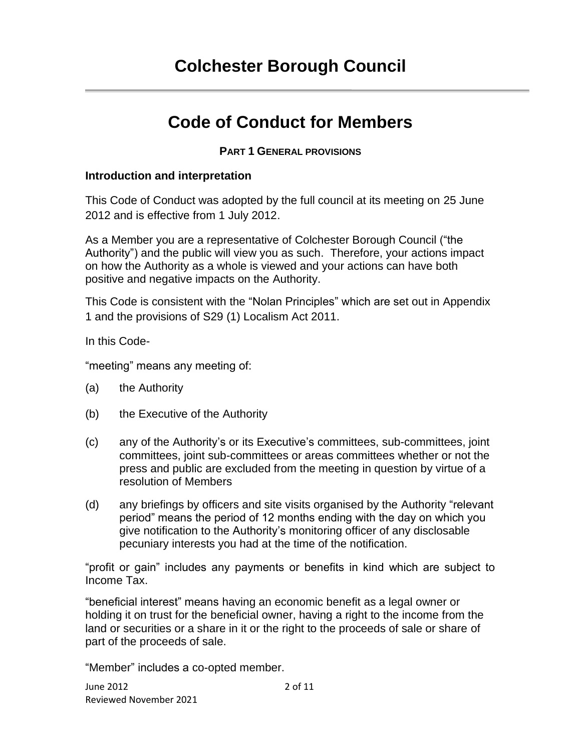## **Colchester Borough Council**

## **Code of Conduct for Members**

#### **PART 1 GENERAL PROVISIONS**

#### **Introduction and interpretation**

This Code of Conduct was adopted by the full council at its meeting on 25 June 2012 and is effective from 1 July 2012.

As a Member you are a representative of Colchester Borough Council ("the Authority") and the public will view you as such. Therefore, your actions impact on how the Authority as a whole is viewed and your actions can have both positive and negative impacts on the Authority.

This Code is consistent with the "Nolan Principles" which are set out in Appendix 1 and the provisions of S29 (1) Localism Act 2011.

In this Code-

"meeting" means any meeting of:

- (a) the Authority
- (b) the Executive of the Authority
- (c) any of the Authority's or its Executive's committees, sub-committees, joint committees, joint sub-committees or areas committees whether or not the press and public are excluded from the meeting in question by virtue of a resolution of Members
- (d) any briefings by officers and site visits organised by the Authority "relevant period" means the period of 12 months ending with the day on which you give notification to the Authority's monitoring officer of any disclosable pecuniary interests you had at the time of the notification.

"profit or gain" includes any payments or benefits in kind which are subject to Income Tax.

"beneficial interest" means having an economic benefit as a legal owner or holding it on trust for the beneficial owner, having a right to the income from the land or securities or a share in it or the right to the proceeds of sale or share of part of the proceeds of sale.

"Member" includes a co-opted member.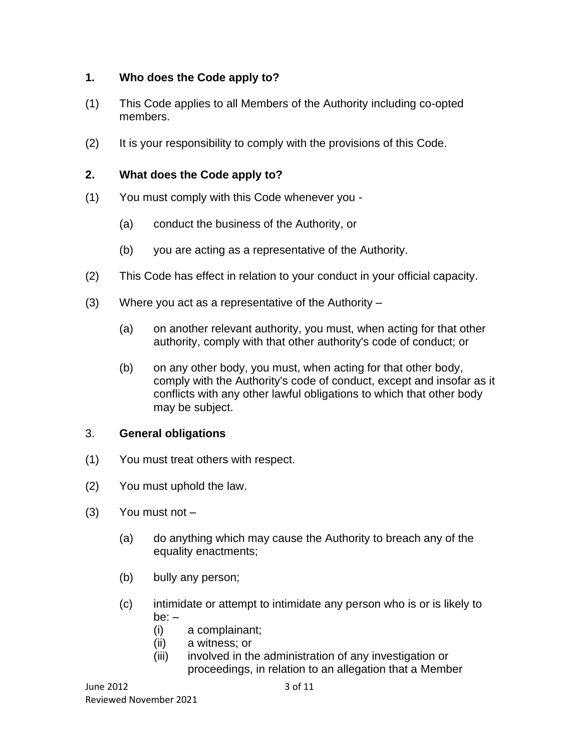## **1. Who does the Code apply to?**

- (1) This Code applies to all Members of the Authority including co-opted members.
- (2) It is your responsibility to comply with the provisions of this Code.

## **2. What does the Code apply to?**

- (1) You must comply with this Code whenever you
	- (a) conduct the business of the Authority, or
	- (b) you are acting as a representative of the Authority.
- (2) This Code has effect in relation to your conduct in your official capacity.
- (3) Where you act as a representative of the Authority
	- (a) on another relevant authority, you must, when acting for that other authority, comply with that other authority's code of conduct; or
	- (b) on any other body, you must, when acting for that other body, comply with the Authority's code of conduct, except and insofar as it conflicts with any other lawful obligations to which that other body may be subject.

## 3. **General obligations**

- (1) You must treat others with respect.
- (2) You must uphold the law.
- $(3)$  You must not  $-$ 
	- (a) do anything which may cause the Authority to breach any of the equality enactments;
	- (b) bully any person;
	- (c) intimidate or attempt to intimidate any person who is or is likely to  $be: -$ 
		- (i) a complainant;
		- (ii) a witness; or
		- (iii) involved in the administration of any investigation or proceedings, in relation to an allegation that a Member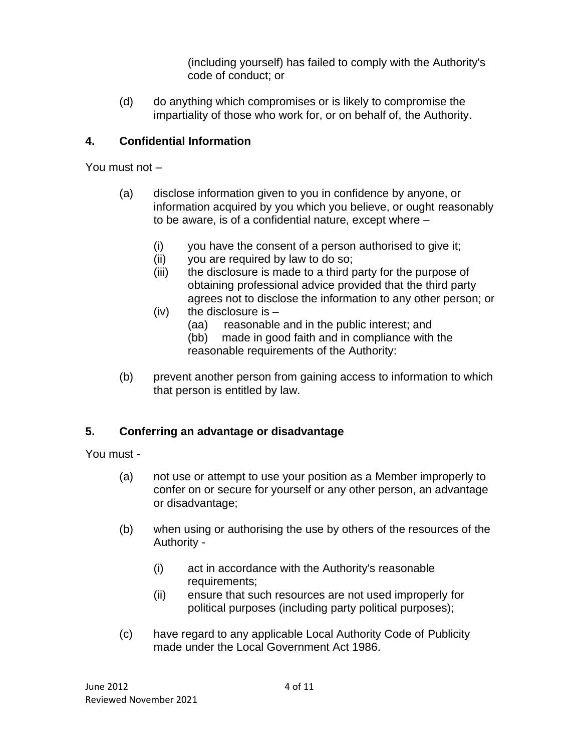(including yourself) has failed to comply with the Authority's code of conduct; or

(d) do anything which compromises or is likely to compromise the impartiality of those who work for, or on behalf of, the Authority.

## **4. Confidential Information**

You must not –

- (a) disclose information given to you in confidence by anyone, or information acquired by you which you believe, or ought reasonably to be aware, is of a confidential nature, except where –
	- (i) you have the consent of a person authorised to give it;
	- (ii) you are required by law to do so;
	- (iii) the disclosure is made to a third party for the purpose of obtaining professional advice provided that the third party agrees not to disclose the information to any other person; or
	- (iv) the disclosure is  $-$ 
		- (aa) reasonable and in the public interest; and
		- (bb) made in good faith and in compliance with the reasonable requirements of the Authority:
- (b) prevent another person from gaining access to information to which that person is entitled by law.

## **5. Conferring an advantage or disadvantage**

You must -

- (a) not use or attempt to use your position as a Member improperly to confer on or secure for yourself or any other person, an advantage or disadvantage;
- (b) when using or authorising the use by others of the resources of the Authority -
	- (i) act in accordance with the Authority's reasonable requirements;
	- (ii) ensure that such resources are not used improperly for political purposes (including party political purposes);
- (c) have regard to any applicable Local Authority Code of Publicity made under the Local Government Act 1986.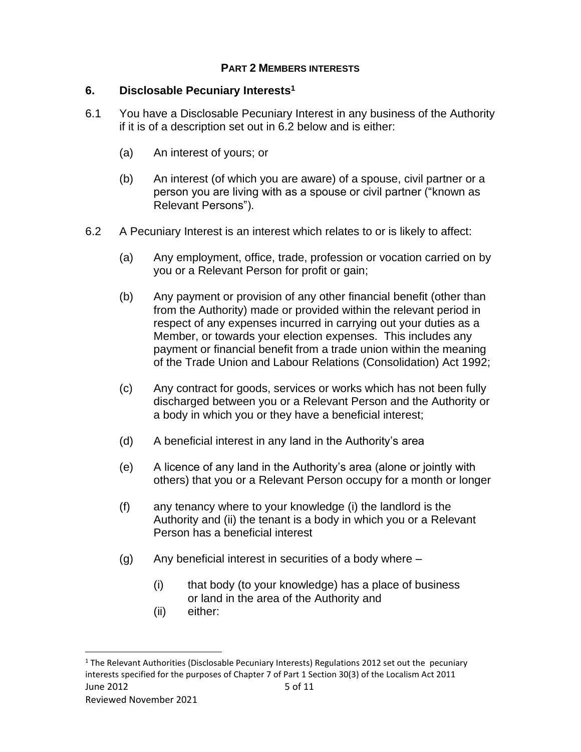#### **PART 2 MEMBERS INTERESTS**

#### **6. Disclosable Pecuniary Interests<sup>1</sup>**

- 6.1 You have a Disclosable Pecuniary Interest in any business of the Authority if it is of a description set out in 6.2 below and is either:
	- (a) An interest of yours; or
	- (b) An interest (of which you are aware) of a spouse, civil partner or a person you are living with as a spouse or civil partner ("known as Relevant Persons").
- 6.2 A Pecuniary Interest is an interest which relates to or is likely to affect:
	- (a) Any employment, office, trade, profession or vocation carried on by you or a Relevant Person for profit or gain;
	- (b) Any payment or provision of any other financial benefit (other than from the Authority) made or provided within the relevant period in respect of any expenses incurred in carrying out your duties as a Member, or towards your election expenses. This includes any payment or financial benefit from a trade union within the meaning of the Trade Union and Labour Relations (Consolidation) Act 1992;
	- (c) Any contract for goods, services or works which has not been fully discharged between you or a Relevant Person and the Authority or a body in which you or they have a beneficial interest;
	- (d) A beneficial interest in any land in the Authority's area
	- (e) A licence of any land in the Authority's area (alone or jointly with others) that you or a Relevant Person occupy for a month or longer
	- (f) any tenancy where to your knowledge (i) the landlord is the Authority and (ii) the tenant is a body in which you or a Relevant Person has a beneficial interest
	- $(q)$  Any beneficial interest in securities of a body where  $-$ 
		- (i) that body (to your knowledge) has a place of business or land in the area of the Authority and
		- (ii) either:

June  $2012$  5 of  $11$  $<sup>1</sup>$  The Relevant Authorities (Disclosable Pecuniary Interests) Regulations 2012 set out the pecuniary</sup> interests specified for the purposes of Chapter 7 of Part 1 Section 30(3) of the Localism Act 2011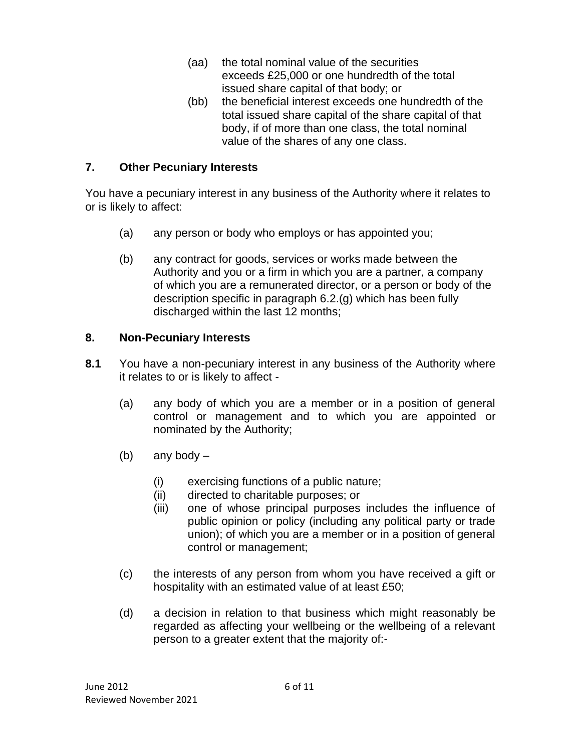- (aa) the total nominal value of the securities exceeds £25,000 or one hundredth of the total issued share capital of that body; or
- (bb) the beneficial interest exceeds one hundredth of the total issued share capital of the share capital of that body, if of more than one class, the total nominal value of the shares of any one class.

## **7. Other Pecuniary Interests**

You have a pecuniary interest in any business of the Authority where it relates to or is likely to affect:

- (a) any person or body who employs or has appointed you;
- (b) any contract for goods, services or works made between the Authority and you or a firm in which you are a partner, a company of which you are a remunerated director, or a person or body of the description specific in paragraph 6.2.(g) which has been fully discharged within the last 12 months;

## **8. Non-Pecuniary Interests**

- **8.1** You have a non-pecuniary interest in any business of the Authority where it relates to or is likely to affect -
	- (a) any body of which you are a member or in a position of general control or management and to which you are appointed or nominated by the Authority;
	- (b) any body
		- (i) exercising functions of a public nature;
		- (ii) directed to charitable purposes; or
		- (iii) one of whose principal purposes includes the influence of public opinion or policy (including any political party or trade union); of which you are a member or in a position of general control or management;
	- (c) the interests of any person from whom you have received a gift or hospitality with an estimated value of at least £50;
	- (d) a decision in relation to that business which might reasonably be regarded as affecting your wellbeing or the wellbeing of a relevant person to a greater extent that the majority of:-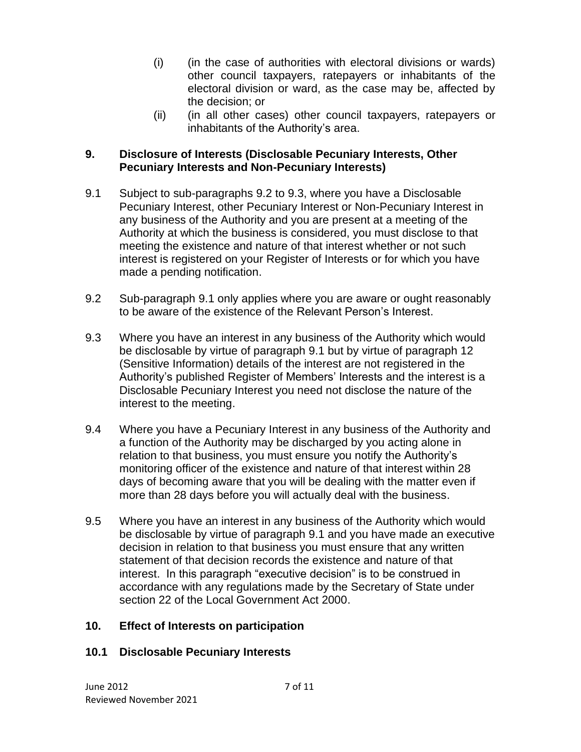- (i) (in the case of authorities with electoral divisions or wards) other council taxpayers, ratepayers or inhabitants of the electoral division or ward, as the case may be, affected by the decision; or
- (ii) (in all other cases) other council taxpayers, ratepayers or inhabitants of the Authority's area.

## **9. Disclosure of Interests (Disclosable Pecuniary Interests, Other Pecuniary Interests and Non-Pecuniary Interests)**

- 9.1 Subject to sub-paragraphs 9.2 to 9.3, where you have a Disclosable Pecuniary Interest, other Pecuniary Interest or Non-Pecuniary Interest in any business of the Authority and you are present at a meeting of the Authority at which the business is considered, you must disclose to that meeting the existence and nature of that interest whether or not such interest is registered on your Register of Interests or for which you have made a pending notification.
- 9.2 Sub-paragraph 9.1 only applies where you are aware or ought reasonably to be aware of the existence of the Relevant Person's Interest.
- 9.3 Where you have an interest in any business of the Authority which would be disclosable by virtue of paragraph 9.1 but by virtue of paragraph 12 (Sensitive Information) details of the interest are not registered in the Authority's published Register of Members' Interests and the interest is a Disclosable Pecuniary Interest you need not disclose the nature of the interest to the meeting.
- 9.4 Where you have a Pecuniary Interest in any business of the Authority and a function of the Authority may be discharged by you acting alone in relation to that business, you must ensure you notify the Authority's monitoring officer of the existence and nature of that interest within 28 days of becoming aware that you will be dealing with the matter even if more than 28 days before you will actually deal with the business.
- 9.5 Where you have an interest in any business of the Authority which would be disclosable by virtue of paragraph 9.1 and you have made an executive decision in relation to that business you must ensure that any written statement of that decision records the existence and nature of that interest. In this paragraph "executive decision" is to be construed in accordance with any regulations made by the Secretary of State under section 22 of the Local Government Act 2000.

## **10. Effect of Interests on participation**

## **10.1 Disclosable Pecuniary Interests**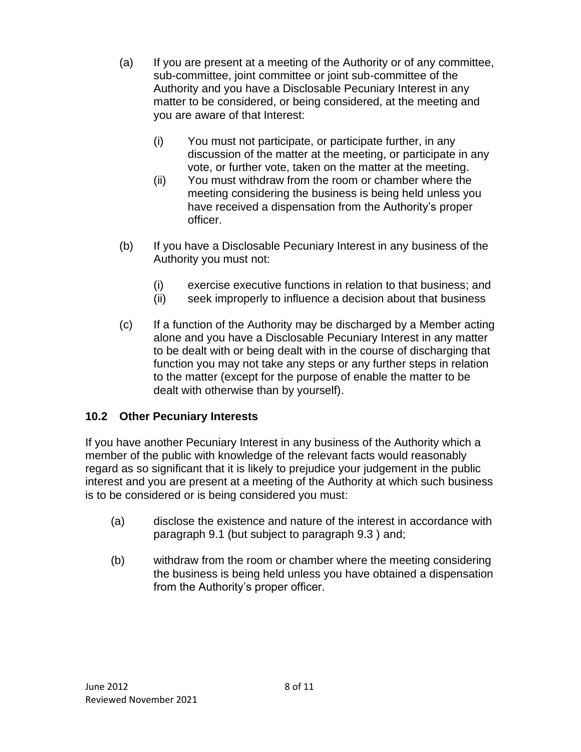- (a) If you are present at a meeting of the Authority or of any committee, sub-committee, joint committee or joint sub-committee of the Authority and you have a Disclosable Pecuniary Interest in any matter to be considered, or being considered, at the meeting and you are aware of that Interest:
	- (i) You must not participate, or participate further, in any discussion of the matter at the meeting, or participate in any vote, or further vote, taken on the matter at the meeting.
	- (ii) You must withdraw from the room or chamber where the meeting considering the business is being held unless you have received a dispensation from the Authority's proper officer.
- (b) If you have a Disclosable Pecuniary Interest in any business of the Authority you must not:
	- (i) exercise executive functions in relation to that business; and
	- (ii) seek improperly to influence a decision about that business
- (c) If a function of the Authority may be discharged by a Member acting alone and you have a Disclosable Pecuniary Interest in any matter to be dealt with or being dealt with in the course of discharging that function you may not take any steps or any further steps in relation to the matter (except for the purpose of enable the matter to be dealt with otherwise than by yourself).

## **10.2 Other Pecuniary Interests**

If you have another Pecuniary Interest in any business of the Authority which a member of the public with knowledge of the relevant facts would reasonably regard as so significant that it is likely to prejudice your judgement in the public interest and you are present at a meeting of the Authority at which such business is to be considered or is being considered you must:

- (a) disclose the existence and nature of the interest in accordance with paragraph 9.1 (but subject to paragraph 9.3 ) and;
- (b) withdraw from the room or chamber where the meeting considering the business is being held unless you have obtained a dispensation from the Authority's proper officer.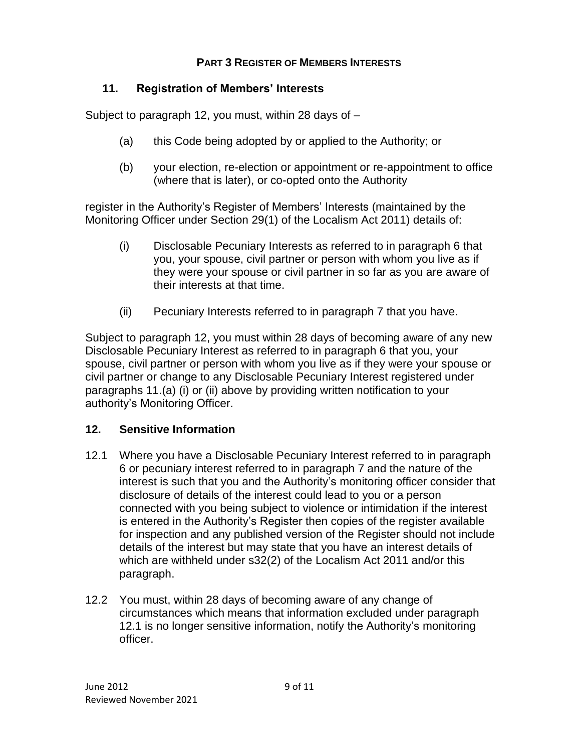## **PART 3 REGISTER OF MEMBERS INTERESTS**

## **11. Registration of Members' Interests**

Subject to paragraph 12, you must, within 28 days of –

- (a) this Code being adopted by or applied to the Authority; or
- (b) your election, re-election or appointment or re-appointment to office (where that is later), or co-opted onto the Authority

register in the Authority's Register of Members' Interests (maintained by the Monitoring Officer under Section 29(1) of the Localism Act 2011) details of:

- (i) Disclosable Pecuniary Interests as referred to in paragraph 6 that you, your spouse, civil partner or person with whom you live as if they were your spouse or civil partner in so far as you are aware of their interests at that time.
- (ii) Pecuniary Interests referred to in paragraph 7 that you have.

Subject to paragraph 12, you must within 28 days of becoming aware of any new Disclosable Pecuniary Interest as referred to in paragraph 6 that you, your spouse, civil partner or person with whom you live as if they were your spouse or civil partner or change to any Disclosable Pecuniary Interest registered under paragraphs 11.(a) (i) or (ii) above by providing written notification to your authority's Monitoring Officer.

## **12. Sensitive Information**

- 12.1 Where you have a Disclosable Pecuniary Interest referred to in paragraph 6 or pecuniary interest referred to in paragraph 7 and the nature of the interest is such that you and the Authority's monitoring officer consider that disclosure of details of the interest could lead to you or a person connected with you being subject to violence or intimidation if the interest is entered in the Authority's Register then copies of the register available for inspection and any published version of the Register should not include details of the interest but may state that you have an interest details of which are withheld under s32(2) of the Localism Act 2011 and/or this paragraph.
- 12.2 You must, within 28 days of becoming aware of any change of circumstances which means that information excluded under paragraph 12.1 is no longer sensitive information, notify the Authority's monitoring officer.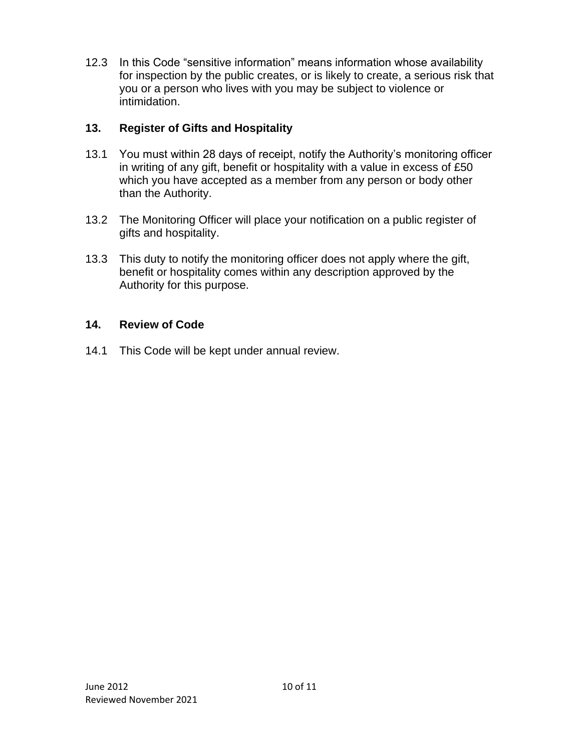12.3 In this Code "sensitive information" means information whose availability for inspection by the public creates, or is likely to create, a serious risk that you or a person who lives with you may be subject to violence or intimidation.

## **13. Register of Gifts and Hospitality**

- 13.1 You must within 28 days of receipt, notify the Authority's monitoring officer in writing of any gift, benefit or hospitality with a value in excess of £50 which you have accepted as a member from any person or body other than the Authority.
- 13.2 The Monitoring Officer will place your notification on a public register of gifts and hospitality.
- 13.3 This duty to notify the monitoring officer does not apply where the gift, benefit or hospitality comes within any description approved by the Authority for this purpose.

## **14. Review of Code**

14.1 This Code will be kept under annual review.